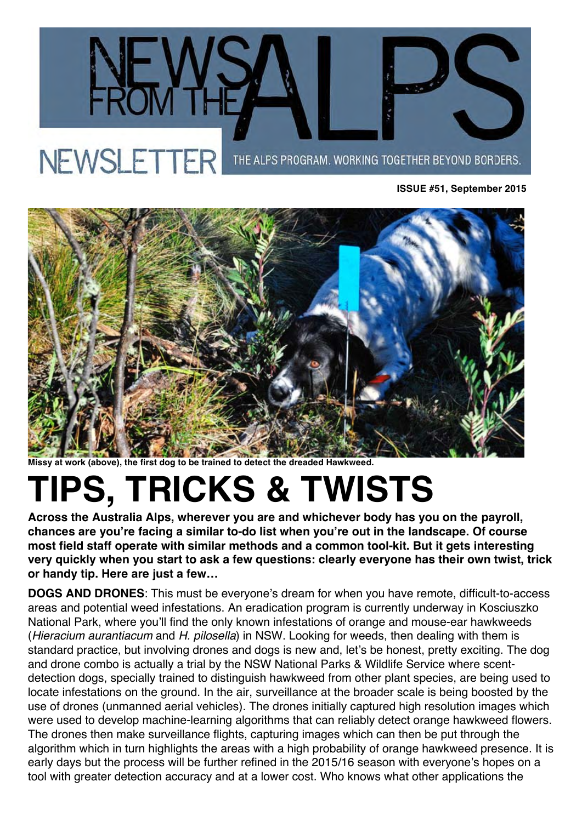



**Missy at work (above), the first dog to be trained to detect the dreaded Hawkweed.**

## **TIPS, TRICKS & TWISTS**

**Across the Australia Alps, wherever you are and whichever body has you on the payroll, chances are you're facing a similar to-do list when you're out in the landscape. Of course most field staff operate with similar methods and a common tool-kit. But it gets interesting very quickly when you start to ask a few questions: clearly everyone has their own twist, trick or handy tip. Here are just a few…** 

**DOGS AND DRONES**: This must be everyone's dream for when you have remote, difficult-to-access areas and potential weed infestations. An eradication program is currently underway in Kosciuszko National Park, where you'll find the only known infestations of orange and mouse-ear hawkweeds (*Hieracium aurantiacum* and *H. pilosella*) in NSW. Looking for weeds, then dealing with them is standard practice, but involving drones and dogs is new and, let's be honest, pretty exciting. The dog and drone combo is actually a trial by the NSW National Parks & Wildlife Service where scentdetection dogs, specially trained to distinguish hawkweed from other plant species, are being used to locate infestations on the ground. In the air, surveillance at the broader scale is being boosted by the use of drones (unmanned aerial vehicles). The drones initially captured high resolution images which were used to develop machine-learning algorithms that can reliably detect orange hawkweed flowers. The drones then make surveillance flights, capturing images which can then be put through the algorithm which in turn highlights the areas with a high probability of orange hawkweed presence. It is early days but the process will be further refined in the 2015/16 season with everyone's hopes on a tool with greater detection accuracy and at a lower cost. Who knows what other applications the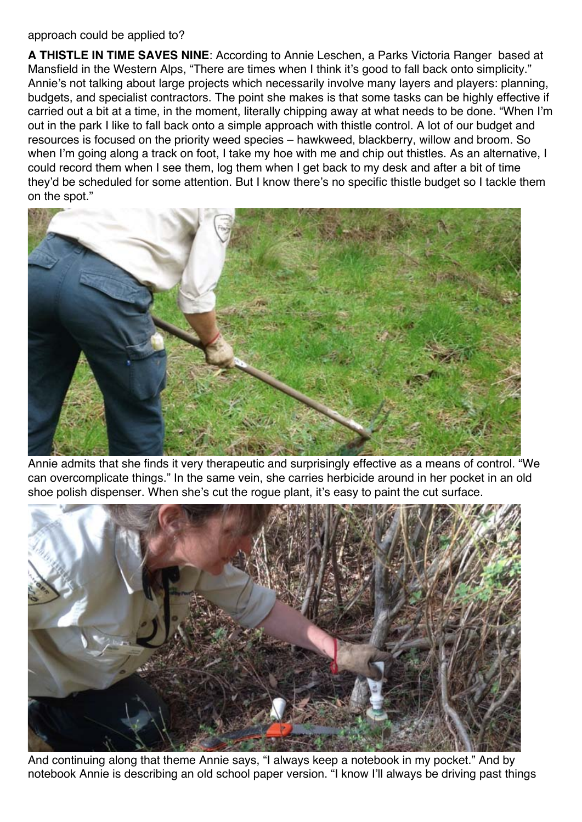## approach could be applied to?

**A THISTLE IN TIME SAVES NINE**: According to Annie Leschen, a Parks Victoria Ranger based at Mansfield in the Western Alps, "There are times when I think it's good to fall back onto simplicity." Annie's not talking about large projects which necessarily involve many layers and players: planning, budgets, and specialist contractors. The point she makes is that some tasks can be highly effective if carried out a bit at a time, in the moment, literally chipping away at what needs to be done. "When I'm out in the park I like to fall back onto a simple approach with thistle control. A lot of our budget and resources is focused on the priority weed species – hawkweed, blackberry, willow and broom. So when I'm going along a track on foot, I take my hoe with me and chip out thistles. As an alternative, I could record them when I see them, log them when I get back to my desk and after a bit of time they'd be scheduled for some attention. But I know there's no specific thistle budget so I tackle them on the spot."



Annie admits that she finds it very therapeutic and surprisingly effective as a means of control. "We can overcomplicate things." In the same vein, she carries herbicide around in her pocket in an old shoe polish dispenser. When she's cut the rogue plant, it's easy to paint the cut surface.



And continuing along that theme Annie says, "I always keep a notebook in my pocket." And by notebook Annie is describing an old school paper version. "I know I'll always be driving past things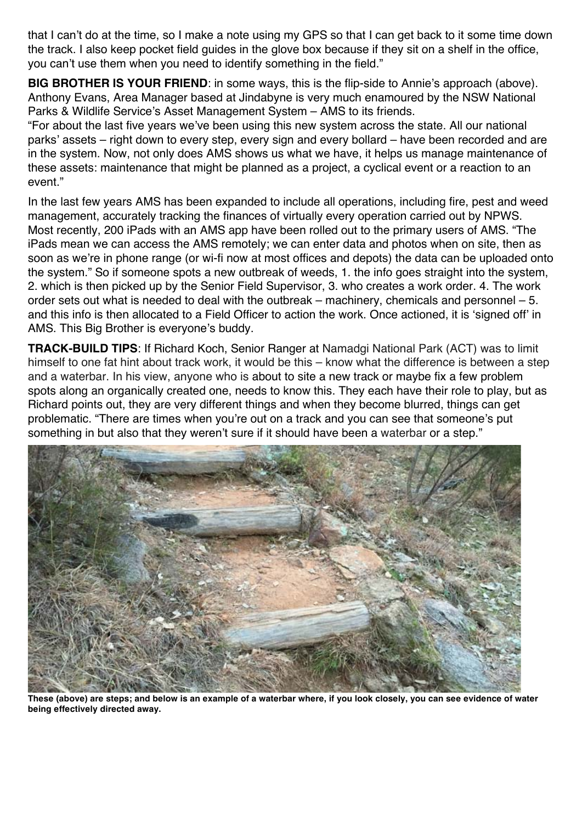that I can't do at the time, so I make a note using my GPS so that I can get back to it some time down the track. I also keep pocket field guides in the glove box because if they sit on a shelf in the office, you can't use them when you need to identify something in the field."

**BIG BROTHER IS YOUR FRIEND:** in some ways, this is the flip-side to Annie's approach (above). Anthony Evans, Area Manager based at Jindabyne is very much enamoured by the NSW National Parks & Wildlife Service's Asset Management System – AMS to its friends.

"For about the last five years we've been using this new system across the state. All our national parks' assets – right down to every step, every sign and every bollard – have been recorded and are in the system. Now, not only does AMS shows us what we have, it helps us manage maintenance of these assets: maintenance that might be planned as a project, a cyclical event or a reaction to an event."

In the last few years AMS has been expanded to include all operations, including fire, pest and weed management, accurately tracking the finances of virtually every operation carried out by NPWS. Most recently, 200 iPads with an AMS app have been rolled out to the primary users of AMS. "The iPads mean we can access the AMS remotely; we can enter data and photos when on site, then as soon as we're in phone range (or wi-fi now at most offices and depots) the data can be uploaded onto the system." So if someone spots a new outbreak of weeds, 1. the info goes straight into the system, 2. which is then picked up by the Senior Field Supervisor, 3. who creates a work order. 4. The work order sets out what is needed to deal with the outbreak – machinery, chemicals and personnel – 5. and this info is then allocated to a Field Officer to action the work. Once actioned, it is 'signed off' in AMS. This Big Brother is everyone's buddy.

**TRACK-BUILD TIPS**: If Richard Koch, Senior Ranger at Namadgi National Park (ACT) was to limit himself to one fat hint about track work, it would be this – know what the difference is between a step and a waterbar. In his view, anyone who is about to site a new track or maybe fix a few problem spots along an organically created one, needs to know this. They each have their role to play, but as Richard points out, they are very different things and when they become blurred, things can get problematic. "There are times when you're out on a track and you can see that someone's put something in but also that they weren't sure if it should have been a waterbar or a step."



**These (above) are steps; and below is an example of a waterbar where, if you look closely, you can see evidence of water being effectively directed away.**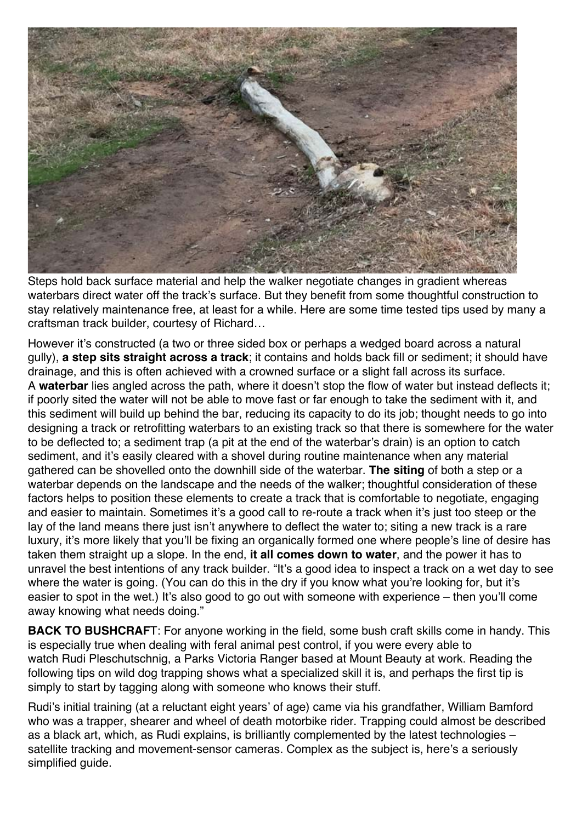

Steps hold back surface material and help the walker negotiate changes in gradient whereas waterbars direct water off the track's surface. But they benefit from some thoughtful construction to stay relatively maintenance free, at least for a while. Here are some time tested tips used by many a craftsman track builder, courtesy of Richard…

However it's constructed (a two or three sided box or perhaps a wedged board across a natural gully), **a step sits straight across a track**; it contains and holds back fill or sediment; it should have drainage, and this is often achieved with a crowned surface or a slight fall across its surface. A **waterbar** lies angled across the path, where it doesn't stop the flow of water but instead deflects it; if poorly sited the water will not be able to move fast or far enough to take the sediment with it, and this sediment will build up behind the bar, reducing its capacity to do its job; thought needs to go into designing a track or retrofitting waterbars to an existing track so that there is somewhere for the water to be deflected to; a sediment trap (a pit at the end of the waterbar's drain) is an option to catch sediment, and it's easily cleared with a shovel during routine maintenance when any material gathered can be shovelled onto the downhill side of the waterbar. **The siting** of both a step or a waterbar depends on the landscape and the needs of the walker; thoughtful consideration of these factors helps to position these elements to create a track that is comfortable to negotiate, engaging and easier to maintain. Sometimes it's a good call to re-route a track when it's just too steep or the lay of the land means there just isn't anywhere to deflect the water to; siting a new track is a rare luxury, it's more likely that you'll be fixing an organically formed one where people's line of desire has taken them straight up a slope. In the end, **it all comes down to water**, and the power it has to unravel the best intentions of any track builder. "It's a good idea to inspect a track on a wet day to see where the water is going. (You can do this in the dry if you know what you're looking for, but it's easier to spot in the wet.) It's also good to go out with someone with experience – then you'll come away knowing what needs doing."

**BACK TO BUSHCRAF**T: For anyone working in the field, some bush craft skills come in handy. This is especially true when dealing with feral animal pest control, if you were every able to watch Rudi Pleschutschnig, a Parks Victoria Ranger based at Mount Beauty at work. Reading the following tips on wild dog trapping shows what a specialized skill it is, and perhaps the first tip is simply to start by tagging along with someone who knows their stuff.

Rudi's initial training (at a reluctant eight years' of age) came via his grandfather, William Bamford who was a trapper, shearer and wheel of death motorbike rider. Trapping could almost be described as a black art, which, as Rudi explains, is brilliantly complemented by the latest technologies – satellite tracking and movement-sensor cameras. Complex as the subject is, here's a seriously simplified guide.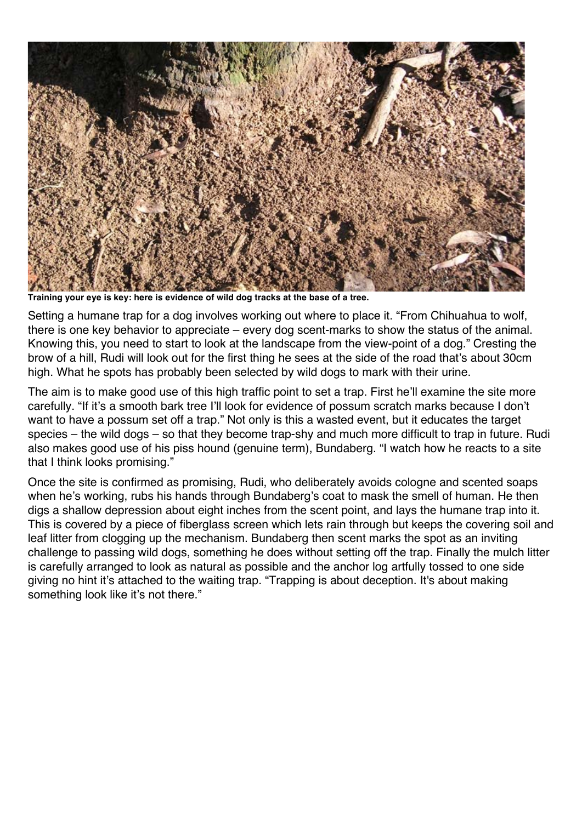

**Training your eye is key: here is evidence of wild dog tracks at the base of a tree.**

Setting a humane trap for a dog involves working out where to place it. "From Chihuahua to wolf, there is one key behavior to appreciate – every dog scent-marks to show the status of the animal. Knowing this, you need to start to look at the landscape from the view-point of a dog." Cresting the brow of a hill, Rudi will look out for the first thing he sees at the side of the road that's about 30cm high. What he spots has probably been selected by wild dogs to mark with their urine.

The aim is to make good use of this high traffic point to set a trap. First he'll examine the site more carefully. "If it's a smooth bark tree I'll look for evidence of possum scratch marks because I don't want to have a possum set off a trap." Not only is this a wasted event, but it educates the target species – the wild dogs – so that they become trap-shy and much more difficult to trap in future. Rudi also makes good use of his piss hound (genuine term), Bundaberg. "I watch how he reacts to a site that I think looks promising."

Once the site is confirmed as promising, Rudi, who deliberately avoids cologne and scented soaps when he's working, rubs his hands through Bundaberg's coat to mask the smell of human. He then digs a shallow depression about eight inches from the scent point, and lays the humane trap into it. This is covered by a piece of fiberglass screen which lets rain through but keeps the covering soil and leaf litter from clogging up the mechanism. Bundaberg then scent marks the spot as an inviting challenge to passing wild dogs, something he does without setting off the trap. Finally the mulch litter is carefully arranged to look as natural as possible and the anchor log artfully tossed to one side giving no hint it's attached to the waiting trap. "Trapping is about deception. It's about making something look like it's not there."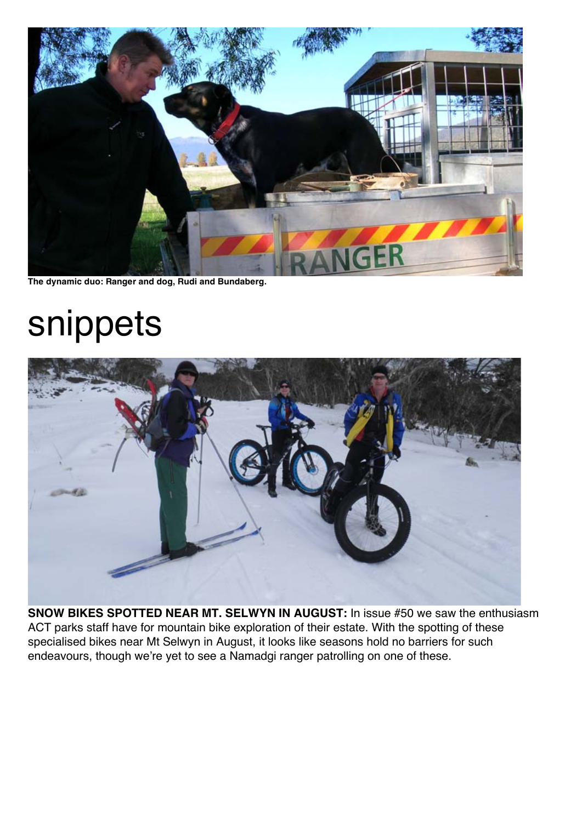

**The dynamic duo: Ranger and dog, Rudi and Bundaberg.**

## snippets



**SNOW BIKES SPOTTED NEAR MT. SELWYN IN AUGUST:** In issue #50 we saw the enthusiasm ACT parks staff have for mountain bike exploration of their estate. With the spotting of these specialised bikes near Mt Selwyn in August, it looks like seasons hold no barriers for such endeavours, though we're yet to see a Namadgi ranger patrolling on one of these.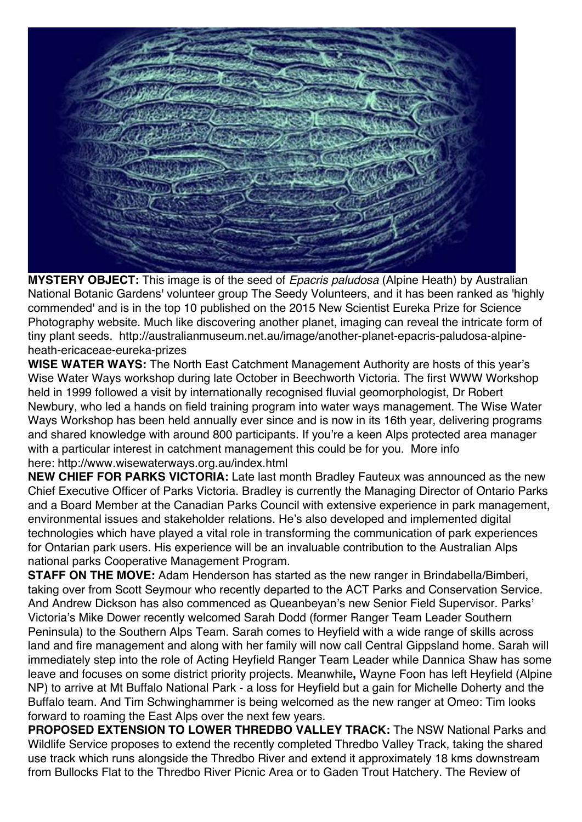**MYSTERY OBJECT:** This image is of the seed of *Epacris paludosa* (Alpine Heath) by Australian National Botanic Gardens' volunteer group The Seedy Volunteers, and it has been ranked as 'highly commended' and is in the top 10 published on the 2015 New Scientist Eureka Prize for Science Photography website. Much like discovering another planet, imaging can reveal the intricate form of tiny plant seeds. http://australianmuseum.net.au/image/another-planet-epacris-paludosa-alpineheath-ericaceae-eureka-prizes

**WISE WATER WAYS:** The North East Catchment Management Authority are hosts of this year's Wise Water Ways workshop during late October in Beechworth Victoria. The first WWW Workshop held in 1999 followed a visit by internationally recognised fluvial geomorphologist, Dr Robert Newbury, who led a hands on field training program into water ways management. The Wise Water Ways Workshop has been held annually ever since and is now in its 16th year, delivering programs and shared knowledge with around 800 participants. If you're a keen Alps protected area manager with a particular interest in catchment management this could be for you. More info here: http://www.wisewaterways.org.au/index.html

**NEW CHIEF FOR PARKS VICTORIA:** Late last month Bradley Fauteux was announced as the new Chief Executive Officer of Parks Victoria. Bradley is currently the Managing Director of Ontario Parks and a Board Member at the Canadian Parks Council with extensive experience in park management, environmental issues and stakeholder relations. He's also developed and implemented digital technologies which have played a vital role in transforming the communication of park experiences for Ontarian park users. His experience will be an invaluable contribution to the Australian Alps national parks Cooperative Management Program.

**STAFF ON THE MOVE:** Adam Henderson has started as the new ranger in Brindabella/Bimberi, taking over from Scott Seymour who recently departed to the ACT Parks and Conservation Service. And Andrew Dickson has also commenced as Queanbeyan's new Senior Field Supervisor. Parks' Victoria's Mike Dower recently welcomed Sarah Dodd (former Ranger Team Leader Southern Peninsula) to the Southern Alps Team. Sarah comes to Heyfield with a wide range of skills across land and fire management and along with her family will now call Central Gippsland home. Sarah will immediately step into the role of Acting Heyfield Ranger Team Leader while Dannica Shaw has some leave and focuses on some district priority projects. Meanwhile**,** Wayne Foon has left Heyfield (Alpine NP) to arrive at Mt Buffalo National Park - a loss for Heyfield but a gain for Michelle Doherty and the Buffalo team. And Tim Schwinghammer is being welcomed as the new ranger at Omeo: Tim looks forward to roaming the East Alps over the next few years.

**PROPOSED EXTENSION TO LOWER THREDBO VALLEY TRACK:** The NSW National Parks and Wildlife Service proposes to extend the recently completed Thredbo Valley Track, taking the shared use track which runs alongside the Thredbo River and extend it approximately 18 kms downstream from Bullocks Flat to the Thredbo River Picnic Area or to Gaden Trout Hatchery. The Review of